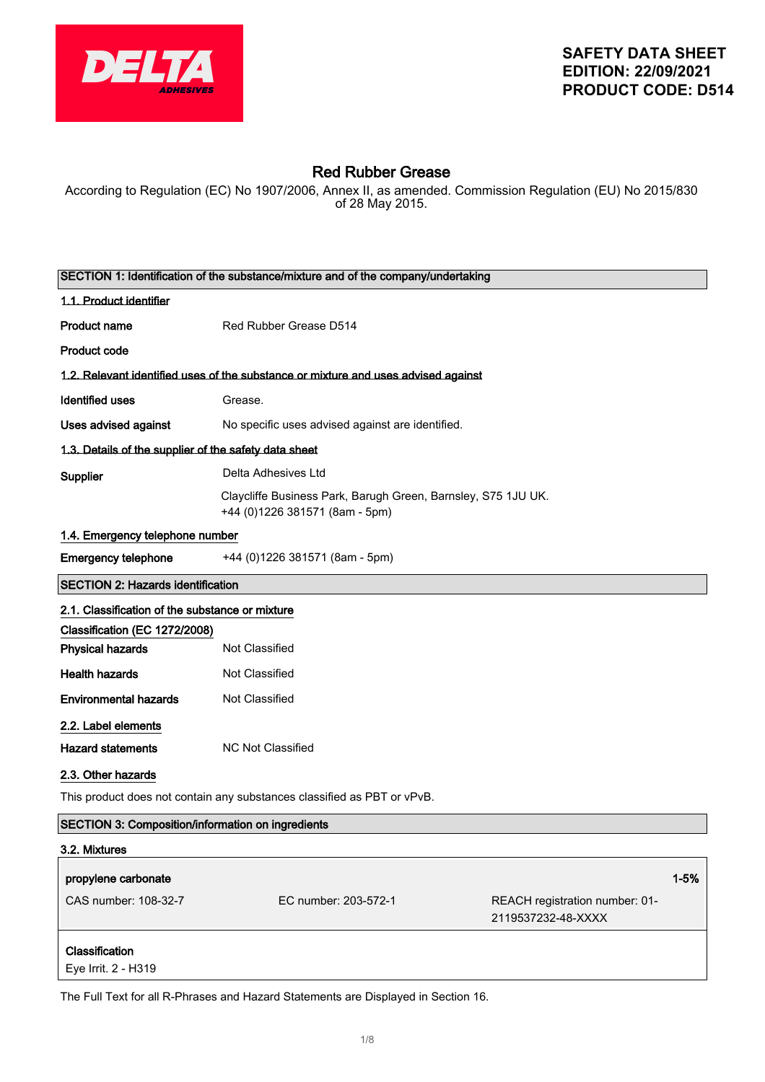

# Red Rubber Grease

According to Regulation (EC) No 1907/2006, Annex II, as amended. Commission Regulation (EU) No 2015/830 of 28 May 2015.

| SECTION 1: Identification of the substance/mixture and of the company/undertaking |                                                                                                 |                                                      |          |
|-----------------------------------------------------------------------------------|-------------------------------------------------------------------------------------------------|------------------------------------------------------|----------|
| 1.1. Product identifier                                                           |                                                                                                 |                                                      |          |
| <b>Product name</b>                                                               | Red Rubber Grease D514                                                                          |                                                      |          |
| <b>Product code</b>                                                               |                                                                                                 |                                                      |          |
|                                                                                   | 1.2. Relevant identified uses of the substance or mixture and uses advised against              |                                                      |          |
| <b>Identified uses</b>                                                            | Grease.                                                                                         |                                                      |          |
| Uses advised against                                                              | No specific uses advised against are identified.                                                |                                                      |          |
| 1.3. Details of the supplier of the safety data sheet                             |                                                                                                 |                                                      |          |
| Supplier                                                                          | Delta Adhesives Ltd                                                                             |                                                      |          |
|                                                                                   | Claycliffe Business Park, Barugh Green, Barnsley, S75 1JU UK.<br>+44 (0)1226 381571 (8am - 5pm) |                                                      |          |
| 1.4. Emergency telephone number                                                   |                                                                                                 |                                                      |          |
| <b>Emergency telephone</b>                                                        | +44 (0)1226 381571 (8am - 5pm)                                                                  |                                                      |          |
| <b>SECTION 2: Hazards identification</b>                                          |                                                                                                 |                                                      |          |
| 2.1. Classification of the substance or mixture                                   |                                                                                                 |                                                      |          |
| Classification (EC 1272/2008)                                                     |                                                                                                 |                                                      |          |
| <b>Physical hazards</b>                                                           | Not Classified                                                                                  |                                                      |          |
| <b>Health hazards</b>                                                             | Not Classified                                                                                  |                                                      |          |
| <b>Environmental hazards</b>                                                      | Not Classified                                                                                  |                                                      |          |
| 2.2. Label elements                                                               |                                                                                                 |                                                      |          |
| <b>Hazard statements</b>                                                          | <b>NC Not Classified</b>                                                                        |                                                      |          |
| 2.3. Other hazards                                                                |                                                                                                 |                                                      |          |
| This product does not contain any substances classified as PBT or vPvB.           |                                                                                                 |                                                      |          |
| <b>SECTION 3: Composition/information on ingredients</b>                          |                                                                                                 |                                                      |          |
| 3.2. Mixtures                                                                     |                                                                                                 |                                                      |          |
| propylene carbonate                                                               |                                                                                                 |                                                      | $1 - 5%$ |
| CAS number: 108-32-7                                                              | EC number: 203-572-1                                                                            | REACH registration number: 01-<br>2119537232-48-XXXX |          |
| Classification<br>Eye Irrit. 2 - H319                                             |                                                                                                 |                                                      |          |

The Full Text for all R-Phrases and Hazard Statements are Displayed in Section 16.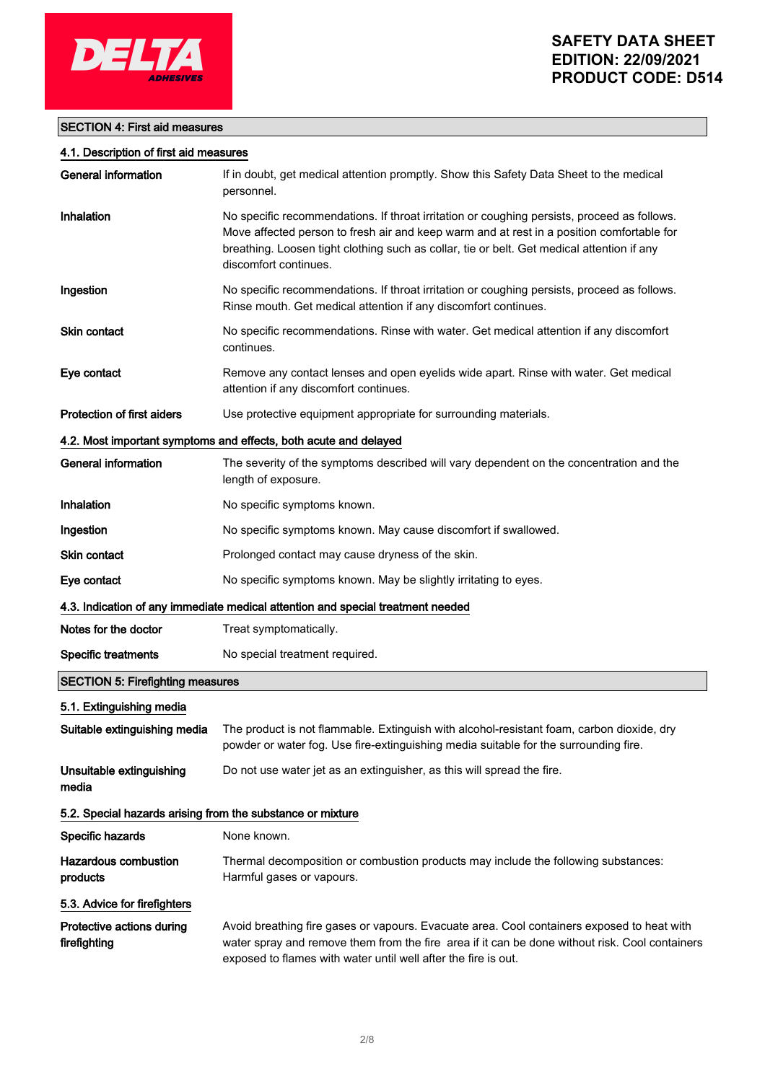

# SECTION 4: First aid measures

#### 4.1. Description of first aid measures

| <b>General information</b>                                 | If in doubt, get medical attention promptly. Show this Safety Data Sheet to the medical<br>personnel.                                                                                                                                                                                                           |
|------------------------------------------------------------|-----------------------------------------------------------------------------------------------------------------------------------------------------------------------------------------------------------------------------------------------------------------------------------------------------------------|
| Inhalation                                                 | No specific recommendations. If throat irritation or coughing persists, proceed as follows.<br>Move affected person to fresh air and keep warm and at rest in a position comfortable for<br>breathing. Loosen tight clothing such as collar, tie or belt. Get medical attention if any<br>discomfort continues. |
| Ingestion                                                  | No specific recommendations. If throat irritation or coughing persists, proceed as follows.<br>Rinse mouth. Get medical attention if any discomfort continues.                                                                                                                                                  |
| Skin contact                                               | No specific recommendations. Rinse with water. Get medical attention if any discomfort<br>continues.                                                                                                                                                                                                            |
| Eye contact                                                | Remove any contact lenses and open eyelids wide apart. Rinse with water. Get medical<br>attention if any discomfort continues.                                                                                                                                                                                  |
| <b>Protection of first aiders</b>                          | Use protective equipment appropriate for surrounding materials.                                                                                                                                                                                                                                                 |
|                                                            | 4.2. Most important symptoms and effects, both acute and delayed                                                                                                                                                                                                                                                |
| <b>General information</b>                                 | The severity of the symptoms described will vary dependent on the concentration and the<br>length of exposure.                                                                                                                                                                                                  |
| Inhalation                                                 | No specific symptoms known.                                                                                                                                                                                                                                                                                     |
| Ingestion                                                  | No specific symptoms known. May cause discomfort if swallowed.                                                                                                                                                                                                                                                  |
| <b>Skin contact</b>                                        | Prolonged contact may cause dryness of the skin.                                                                                                                                                                                                                                                                |
| Eye contact                                                | No specific symptoms known. May be slightly irritating to eyes.                                                                                                                                                                                                                                                 |
|                                                            | 4.3. Indication of any immediate medical attention and special treatment needed                                                                                                                                                                                                                                 |
| Notes for the doctor                                       | Treat symptomatically.                                                                                                                                                                                                                                                                                          |
| <b>Specific treatments</b>                                 | No special treatment required.                                                                                                                                                                                                                                                                                  |
| <b>SECTION 5: Firefighting measures</b>                    |                                                                                                                                                                                                                                                                                                                 |
| 5.1. Extinguishing media                                   |                                                                                                                                                                                                                                                                                                                 |
| Suitable extinguishing media                               | The product is not flammable. Extinguish with alcohol-resistant foam, carbon dioxide, dry<br>powder or water fog. Use fire-extinguishing media suitable for the surrounding fire.                                                                                                                               |
| Unsuitable extinguishing<br>media                          | Do not use water jet as an extinguisher, as this will spread the fire.                                                                                                                                                                                                                                          |
| 5.2. Special hazards arising from the substance or mixture |                                                                                                                                                                                                                                                                                                                 |
| Specific hazards                                           | None known.                                                                                                                                                                                                                                                                                                     |
| <b>Hazardous combustion</b><br>products                    | Thermal decomposition or combustion products may include the following substances:<br>Harmful gases or vapours.                                                                                                                                                                                                 |
| 5.3. Advice for firefighters                               |                                                                                                                                                                                                                                                                                                                 |
| Protective actions during<br>firefighting                  | Avoid breathing fire gases or vapours. Evacuate area. Cool containers exposed to heat with<br>water spray and remove them from the fire area if it can be done without risk. Cool containers<br>exposed to flames with water until well after the fire is out.                                                  |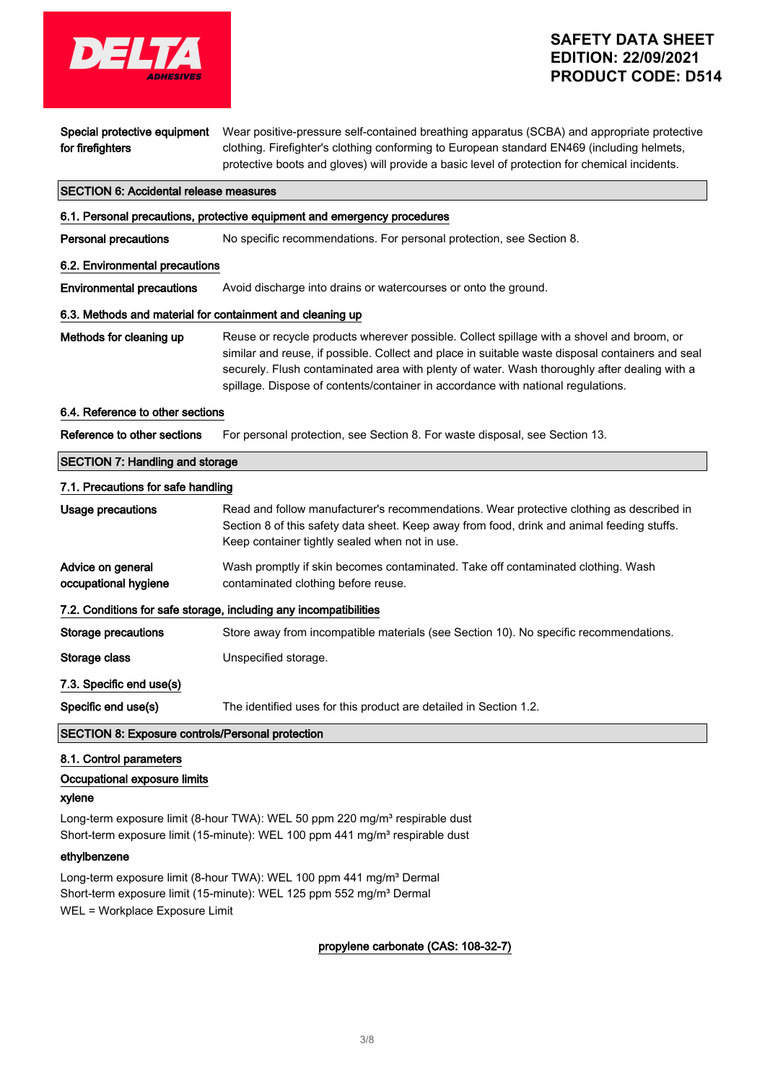

| for firefighters                                 | clothing. Firefighter's clothing conforming to European standard EN469 (including helmets,<br>protective boots and gloves) will provide a basic level of protection for chemical incidents.                                                                                                                                                                                       |
|--------------------------------------------------|-----------------------------------------------------------------------------------------------------------------------------------------------------------------------------------------------------------------------------------------------------------------------------------------------------------------------------------------------------------------------------------|
| <b>SECTION 6: Accidental release measures</b>    |                                                                                                                                                                                                                                                                                                                                                                                   |
|                                                  | 6.1. Personal precautions, protective equipment and emergency procedures                                                                                                                                                                                                                                                                                                          |
| <b>Personal precautions</b>                      | No specific recommendations. For personal protection, see Section 8.                                                                                                                                                                                                                                                                                                              |
| 6.2. Environmental precautions                   |                                                                                                                                                                                                                                                                                                                                                                                   |
| <b>Environmental precautions</b>                 | Avoid discharge into drains or watercourses or onto the ground.                                                                                                                                                                                                                                                                                                                   |
|                                                  | 6.3. Methods and material for containment and cleaning up                                                                                                                                                                                                                                                                                                                         |
| Methods for cleaning up                          | Reuse or recycle products wherever possible. Collect spillage with a shovel and broom, or<br>similar and reuse, if possible. Collect and place in suitable waste disposal containers and seal<br>securely. Flush contaminated area with plenty of water. Wash thoroughly after dealing with a<br>spillage. Dispose of contents/container in accordance with national regulations. |
| 6.4. Reference to other sections                 |                                                                                                                                                                                                                                                                                                                                                                                   |
| Reference to other sections                      | For personal protection, see Section 8. For waste disposal, see Section 13.                                                                                                                                                                                                                                                                                                       |
| <b>SECTION 7: Handling and storage</b>           |                                                                                                                                                                                                                                                                                                                                                                                   |
| 7.1. Precautions for safe handling               |                                                                                                                                                                                                                                                                                                                                                                                   |
| <b>Usage precautions</b>                         | Read and follow manufacturer's recommendations. Wear protective clothing as described in<br>Section 8 of this safety data sheet. Keep away from food, drink and animal feeding stuffs.<br>Keep container tightly sealed when not in use.                                                                                                                                          |
| Advice on general<br>occupational hygiene        | Wash promptly if skin becomes contaminated. Take off contaminated clothing. Wash<br>contaminated clothing before reuse.                                                                                                                                                                                                                                                           |
|                                                  | 7.2. Conditions for safe storage, including any incompatibilities                                                                                                                                                                                                                                                                                                                 |
| <b>Storage precautions</b>                       | Store away from incompatible materials (see Section 10). No specific recommendations.                                                                                                                                                                                                                                                                                             |
| Storage class                                    | Unspecified storage.                                                                                                                                                                                                                                                                                                                                                              |
| 7.3. Specific end use(s)                         |                                                                                                                                                                                                                                                                                                                                                                                   |
| Specific end use(s)                              | The identified uses for this product are detailed in Section 1.2.                                                                                                                                                                                                                                                                                                                 |
| SECTION 8: Exposure controls/Personal protection |                                                                                                                                                                                                                                                                                                                                                                                   |
| 8.1. Control parameters                          |                                                                                                                                                                                                                                                                                                                                                                                   |

Special protective equipment Wear positive-pressure self-contained breathing apparatus (SCBA) and appropriate protective

# Occupational exposure limits

#### xylene

Long-term exposure limit (8-hour TWA): WEL 50 ppm 220 mg/m<sup>3</sup> respirable dust Short-term exposure limit (15-minute): WEL 100 ppm 441 mg/m<sup>3</sup> respirable dust

## ethylbenzene

Long-term exposure limit (8-hour TWA): WEL 100 ppm 441 mg/m<sup>3</sup> Dermal Short-term exposure limit (15-minute): WEL 125 ppm 552 mg/m<sup>3</sup> Dermal WEL = Workplace Exposure Limit

## propylene carbonate (CAS: 108-32-7)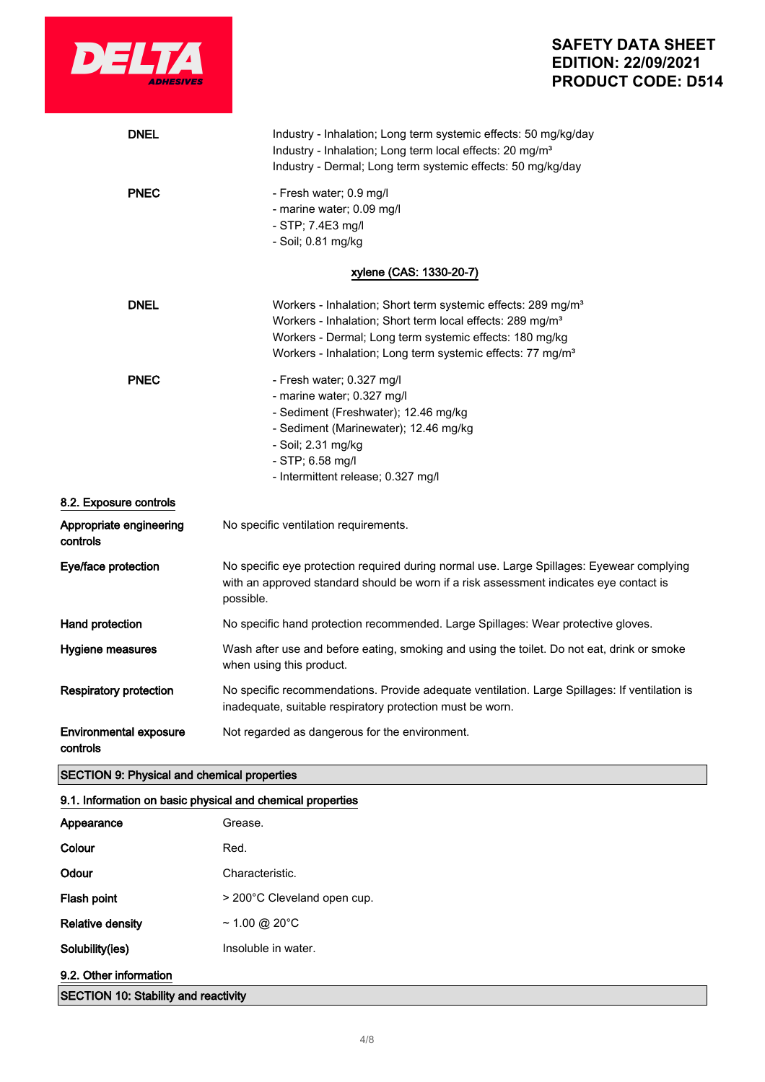

| <b>DNEL</b>                                        | Industry - Inhalation; Long term systemic effects: 50 mg/kg/day<br>Industry - Inhalation; Long term local effects: 20 mg/m <sup>3</sup><br>Industry - Dermal; Long term systemic effects: 50 mg/kg/day                                                                                 |
|----------------------------------------------------|----------------------------------------------------------------------------------------------------------------------------------------------------------------------------------------------------------------------------------------------------------------------------------------|
| <b>PNEC</b>                                        | - Fresh water; 0.9 mg/l<br>- marine water; 0.09 mg/l<br>- STP; 7.4E3 mg/l<br>- Soil; 0.81 mg/kg                                                                                                                                                                                        |
|                                                    | xylene (CAS: 1330-20-7)                                                                                                                                                                                                                                                                |
| <b>DNEL</b>                                        | Workers - Inhalation; Short term systemic effects: 289 mg/m <sup>3</sup><br>Workers - Inhalation; Short term local effects: 289 mg/m <sup>3</sup><br>Workers - Dermal; Long term systemic effects: 180 mg/kg<br>Workers - Inhalation; Long term systemic effects: 77 mg/m <sup>3</sup> |
| <b>PNEC</b>                                        | - Fresh water; 0.327 mg/l<br>- marine water; 0.327 mg/l<br>- Sediment (Freshwater); 12.46 mg/kg<br>- Sediment (Marinewater); 12.46 mg/kg<br>- Soil; 2.31 mg/kg<br>- STP; 6.58 mg/l<br>- Intermittent release; 0.327 mg/l                                                               |
| 8.2. Exposure controls                             |                                                                                                                                                                                                                                                                                        |
| Appropriate engineering<br>controls                | No specific ventilation requirements.                                                                                                                                                                                                                                                  |
| Eye/face protection                                | No specific eye protection required during normal use. Large Spillages: Eyewear complying<br>with an approved standard should be worn if a risk assessment indicates eye contact is<br>possible.                                                                                       |
| Hand protection                                    | No specific hand protection recommended. Large Spillages: Wear protective gloves.                                                                                                                                                                                                      |
| Hygiene measures                                   | Wash after use and before eating, smoking and using the toilet. Do not eat, drink or smoke<br>when using this product.                                                                                                                                                                 |
| <b>Respiratory protection</b>                      | No specific recommendations. Provide adequate ventilation. Large Spillages: If ventilation is<br>inadequate, suitable respiratory protection must be worn.                                                                                                                             |
| <b>Environmental exposure</b><br>controls          | Not regarded as dangerous for the environment.                                                                                                                                                                                                                                         |
| <b>SECTION 9: Physical and chemical properties</b> |                                                                                                                                                                                                                                                                                        |

# 9.1. Information on basic physical and chemical properties

| Appearance                                  | Grease.                     |
|---------------------------------------------|-----------------------------|
| Colour                                      | Red.                        |
| Odour                                       | Characteristic.             |
| Flash point                                 | > 200°C Cleveland open cup. |
| <b>Relative density</b>                     | $\sim$ 1.00 @ 20°C          |
| Solubility(ies)                             | Insoluble in water.         |
| 9.2. Other information                      |                             |
| <b>SECTION 10: Stability and reactivity</b> |                             |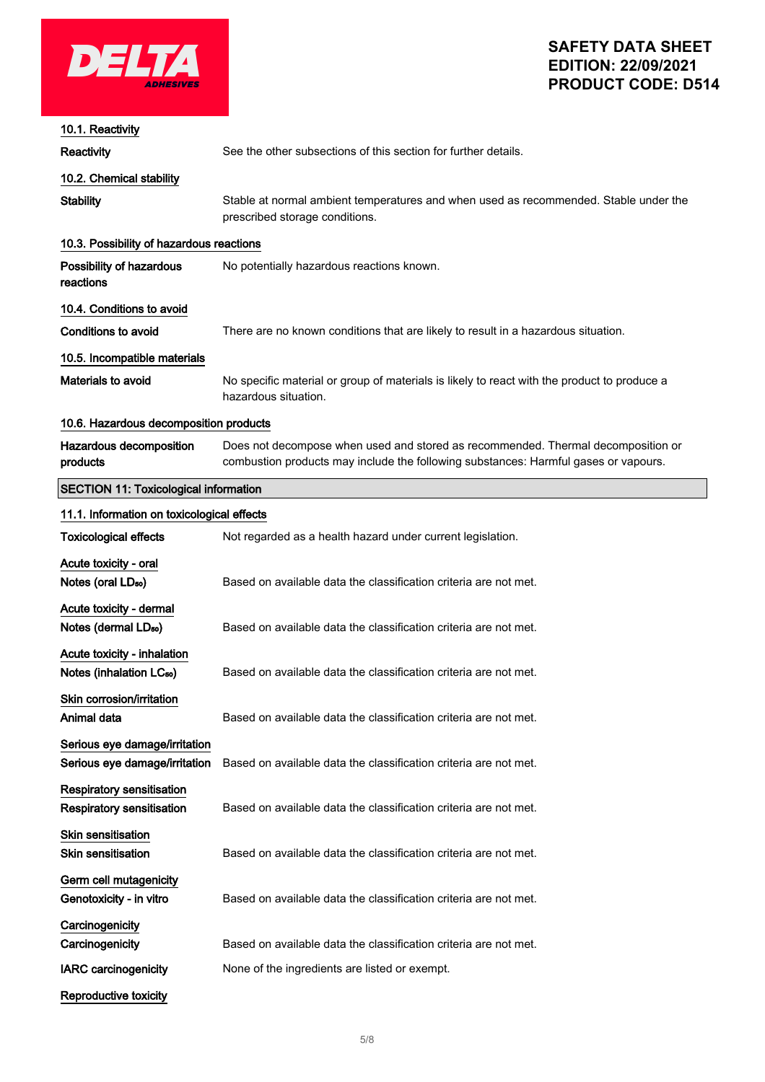

| 10.1. Reactivity                                                    |                                                                                                                                                                         |
|---------------------------------------------------------------------|-------------------------------------------------------------------------------------------------------------------------------------------------------------------------|
| Reactivity                                                          | See the other subsections of this section for further details.                                                                                                          |
| 10.2. Chemical stability                                            |                                                                                                                                                                         |
| <b>Stability</b>                                                    | Stable at normal ambient temperatures and when used as recommended. Stable under the<br>prescribed storage conditions.                                                  |
| 10.3. Possibility of hazardous reactions                            |                                                                                                                                                                         |
| Possibility of hazardous<br>reactions                               | No potentially hazardous reactions known.                                                                                                                               |
| 10.4. Conditions to avoid                                           |                                                                                                                                                                         |
| <b>Conditions to avoid</b>                                          | There are no known conditions that are likely to result in a hazardous situation.                                                                                       |
| 10.5. Incompatible materials                                        |                                                                                                                                                                         |
| Materials to avoid                                                  | No specific material or group of materials is likely to react with the product to produce a<br>hazardous situation.                                                     |
| 10.6. Hazardous decomposition products                              |                                                                                                                                                                         |
| Hazardous decomposition<br>products                                 | Does not decompose when used and stored as recommended. Thermal decomposition or<br>combustion products may include the following substances: Harmful gases or vapours. |
| <b>SECTION 11: Toxicological information</b>                        |                                                                                                                                                                         |
| 11.1. Information on toxicological effects                          |                                                                                                                                                                         |
| <b>Toxicological effects</b>                                        | Not regarded as a health hazard under current legislation.                                                                                                              |
| Acute toxicity - oral<br>Notes (oral LD <sub>50</sub> )             | Based on available data the classification criteria are not met.                                                                                                        |
| Acute toxicity - dermal<br>Notes (dermal LD <sub>50</sub> )         | Based on available data the classification criteria are not met.                                                                                                        |
| Acute toxicity - inhalation<br>Notes (inhalation LC <sub>50</sub> ) | Based on available data the classification criteria are not met.                                                                                                        |
| Skin corrosion/irritation<br>Animal data                            | Based on available data the classification criteria are not met.                                                                                                        |
| Serious eye damage/irritation<br>Serious eye damage/irritation      | Based on available data the classification criteria are not met.                                                                                                        |
| <b>Respiratory sensitisation</b><br>Respiratory sensitisation       | Based on available data the classification criteria are not met.                                                                                                        |
| <b>Skin sensitisation</b><br><b>Skin sensitisation</b>              | Based on available data the classification criteria are not met.                                                                                                        |
| Germ cell mutagenicity<br>Genotoxicity - in vitro                   | Based on available data the classification criteria are not met.                                                                                                        |
| Carcinogenicity                                                     |                                                                                                                                                                         |
| Carcinogenicity                                                     | Based on available data the classification criteria are not met.                                                                                                        |
| <b>IARC carcinogenicity</b>                                         | None of the ingredients are listed or exempt.                                                                                                                           |
| Reproductive toxicity                                               |                                                                                                                                                                         |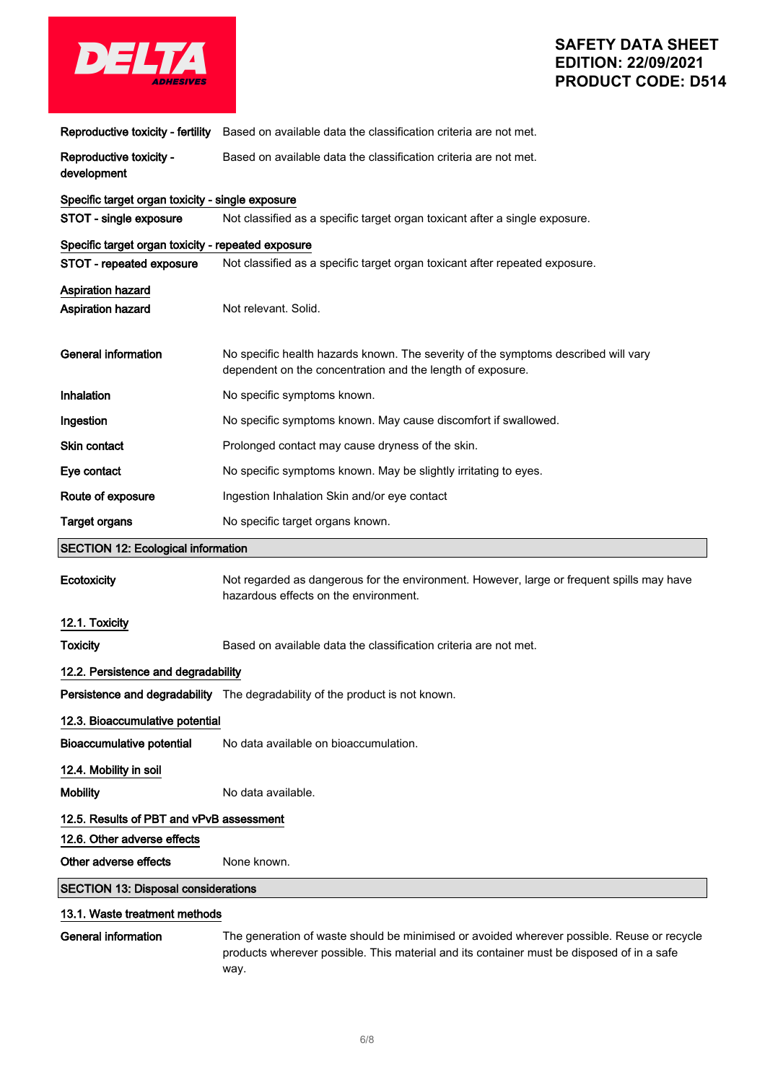

|                                                      | Reproductive toxicity - fertility Based on available data the classification criteria are not met.                                               |
|------------------------------------------------------|--------------------------------------------------------------------------------------------------------------------------------------------------|
| Reproductive toxicity -<br>development               | Based on available data the classification criteria are not met.                                                                                 |
| Specific target organ toxicity - single exposure     |                                                                                                                                                  |
| STOT - single exposure                               | Not classified as a specific target organ toxicant after a single exposure.                                                                      |
| Specific target organ toxicity - repeated exposure   |                                                                                                                                                  |
| STOT - repeated exposure                             | Not classified as a specific target organ toxicant after repeated exposure.                                                                      |
| <b>Aspiration hazard</b><br><b>Aspiration hazard</b> | Not relevant. Solid.                                                                                                                             |
| <b>General information</b>                           | No specific health hazards known. The severity of the symptoms described will vary<br>dependent on the concentration and the length of exposure. |
| Inhalation                                           | No specific symptoms known.                                                                                                                      |
| Ingestion                                            | No specific symptoms known. May cause discomfort if swallowed.                                                                                   |
| Skin contact                                         | Prolonged contact may cause dryness of the skin.                                                                                                 |
| Eye contact                                          | No specific symptoms known. May be slightly irritating to eyes.                                                                                  |
| Route of exposure                                    | Ingestion Inhalation Skin and/or eye contact                                                                                                     |
| <b>Target organs</b>                                 | No specific target organs known.                                                                                                                 |
|                                                      |                                                                                                                                                  |
| <b>SECTION 12: Ecological information</b>            |                                                                                                                                                  |
| <b>Ecotoxicity</b>                                   | Not regarded as dangerous for the environment. However, large or frequent spills may have<br>hazardous effects on the environment.               |
| 12.1. Toxicity                                       |                                                                                                                                                  |
| <b>Toxicity</b>                                      | Based on available data the classification criteria are not met.                                                                                 |
| 12.2. Persistence and degradability                  |                                                                                                                                                  |
|                                                      | Persistence and degradability The degradability of the product is not known.                                                                     |
| 12.3. Bioaccumulative potential                      |                                                                                                                                                  |
| <b>Bioaccumulative potential</b>                     | No data available on bioaccumulation.                                                                                                            |
| 12.4. Mobility in soil                               |                                                                                                                                                  |
| <b>Mobility</b>                                      | No data available.                                                                                                                               |
| 12.5. Results of PBT and vPvB assessment             |                                                                                                                                                  |
| 12.6. Other adverse effects                          |                                                                                                                                                  |
| Other adverse effects                                | None known.                                                                                                                                      |
| <b>SECTION 13: Disposal considerations</b>           |                                                                                                                                                  |

General information The generation of waste should be minimised or avoided wherever possible. Reuse or recycle products wherever possible. This material and its container must be disposed of in a safe way.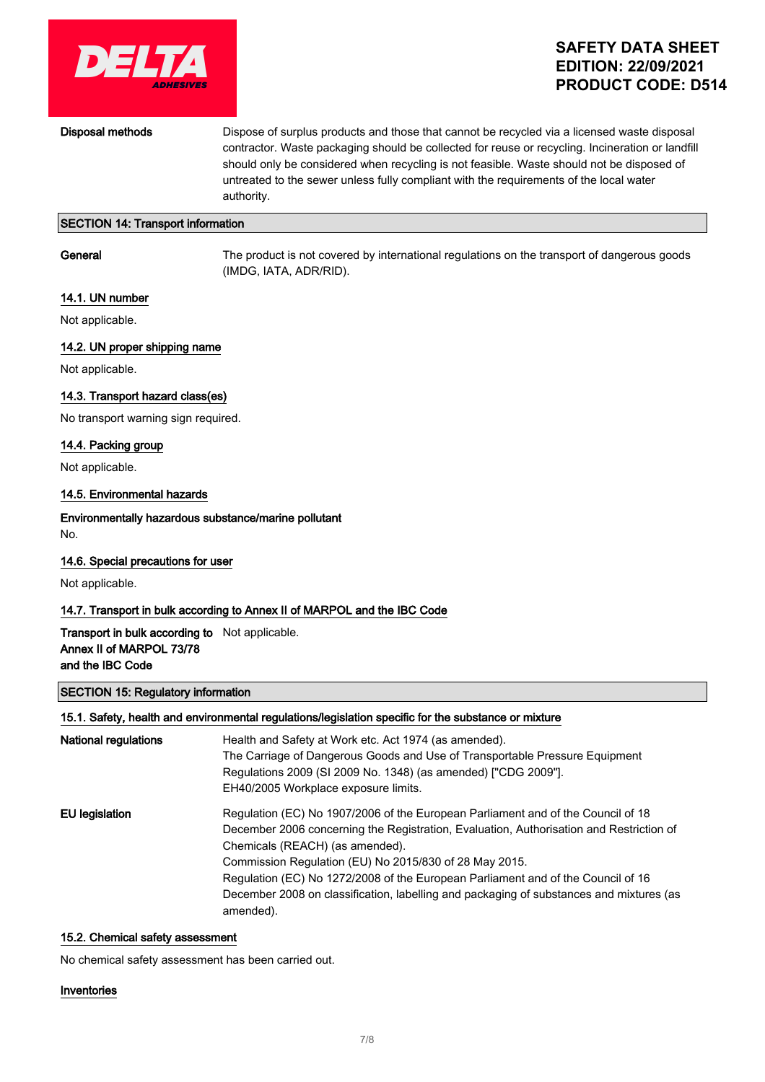

Disposal methods Dispose of surplus products and those that cannot be recycled via a licensed waste disposal contractor. Waste packaging should be collected for reuse or recycling. Incineration or landfill should only be considered when recycling is not feasible. Waste should not be disposed of untreated to the sewer unless fully compliant with the requirements of the local water authority.

## SECTION 14: Transport information

General The product is not covered by international regulations on the transport of dangerous goods (IMDG, IATA, ADR/RID).

## 14.1. UN number

Not applicable.

## 14.2. UN proper shipping name

Not applicable.

#### 14.3. Transport hazard class(es)

No transport warning sign required.

## 14.4. Packing group

Not applicable.

#### 14.5. Environmental hazards

#### Environmentally hazardous substance/marine pollutant No.

### 14.6. Special precautions for user

Not applicable.

## 14.7. Transport in bulk according to Annex II of MARPOL and the IBC Code

## Transport in bulk according to Not applicable. Annex II of MARPOL 73/78 and the IBC Code

#### SECTION 15: Regulatory information

#### 15.1. Safety, health and environmental regulations/legislation specific for the substance or mixture

| National regulations | Health and Safety at Work etc. Act 1974 (as amended).<br>The Carriage of Dangerous Goods and Use of Transportable Pressure Equipment<br>Regulations 2009 (SI 2009 No. 1348) (as amended) ["CDG 2009"].<br>EH40/2005 Workplace exposure limits.                                                                                                                                                                                                                       |
|----------------------|----------------------------------------------------------------------------------------------------------------------------------------------------------------------------------------------------------------------------------------------------------------------------------------------------------------------------------------------------------------------------------------------------------------------------------------------------------------------|
| EU legislation       | Regulation (EC) No 1907/2006 of the European Parliament and of the Council of 18<br>December 2006 concerning the Registration, Evaluation, Authorisation and Restriction of<br>Chemicals (REACH) (as amended).<br>Commission Regulation (EU) No 2015/830 of 28 May 2015.<br>Regulation (EC) No 1272/2008 of the European Parliament and of the Council of 16<br>December 2008 on classification, labelling and packaging of substances and mixtures (as<br>amended). |

#### 15.2. Chemical safety assessment

No chemical safety assessment has been carried out.

#### Inventories